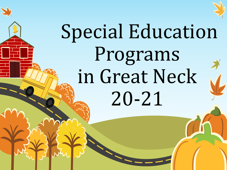



# Special Education Programs in Great Neck 20-21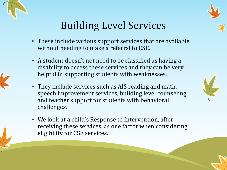



## Building Level Services

- These include various support services that are available without needing to make a referral to CSE.
- A student doesn't not need to be classified as having a disability to access these services and they can be very helpful in supporting students with weaknesses.
- They include services such as AIS reading and math, speech improvement services, building level counseling and teacher support for students with behavioral challenges.
- We look at a child's Response to Intervention, after receiving these services, as one factor when considering eligibility for CSE services.

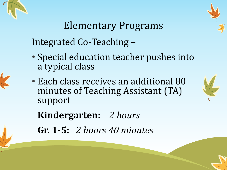



#### Elementary Programs

#### Integrated Co-Teaching –

- Special education teacher pushes into a typical class
- Each class receives an additional 80 minutes of Teaching Assistant (TA) support



**Kindergarten:** *2 hours*

**Gr. 1-5:** *2 hours 40 minutes*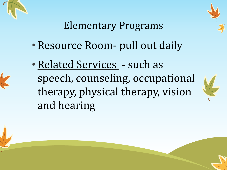



## Elementary Programs

- Resource Room- pull out daily
- Related Services such as speech, counseling, occupational therapy, physical therapy, vision and hearing

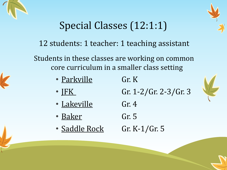



### Special Classes (12:1:1)

12 students: 1 teacher: 1 teaching assistant

Students in these classes are working on common core curriculum in a smaller class setting

- Parkville Gr. K
- <u>IFK</u> Gr. 1-2/Gr. 2-3/Gr. 3



- Lakeville Gr. 4
- Baker Gr. 5
- Saddle Rock Gr. K-1/Gr. 5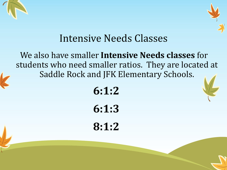



#### Intensive Needs Classes

#### We also have smaller **Intensive Needs classes** for students who need smaller ratios. They are located at Saddle Rock and JFK Elementary Schools.



**6:1:3 8:1:2**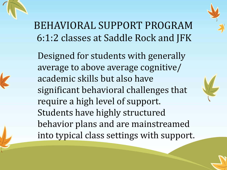

BEHAVIORAL SUPPORT PROGRAM 6:1:2 classes at Saddle Rock and JFK

Designed for students with generally average to above average cognitive/ academic skills but also have significant behavioral challenges that require a high level of support. Students have highly structured behavior plans and are mainstreamed into typical class settings with support.

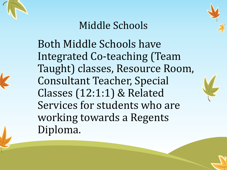



#### Middle Schools

Both Middle Schools have Integrated Co-teaching (Team Taught) classes, Resource Room, Consultant Teacher, Special Classes (12:1:1) & Related Services for students who are working towards a Regents Diploma.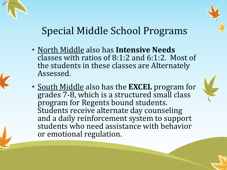



#### Special Middle School Programs

- North Middle also has **Intensive Needs**  classes with ratios of 8:1:2 and 6:1:2. Most of the students in these classes are Alternately Assessed.
- South Middle also has the **EXCEL** program for grades 7-8, which is a structured small class program for Regents bound students. Students receive alternate day counseling and a daily reinforcement system to support students who need assistance with behavior or emotional regulation.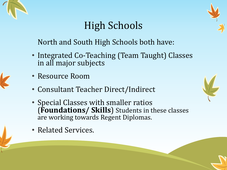



#### High Schools

North and South High Schools both have:

- Integrated Co-Teaching (Team Taught) Classes in all major subjects
- Resource Room
- Consultant Teacher Direct/Indirect
- Special Classes with smaller ratios (**Foundations/ Skills**) Students in these classes are working towards Regent Diplomas.
- Related Services.

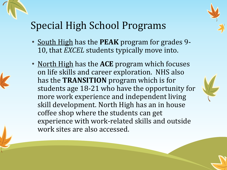

## Special High School Programs

- South High has the **PEAK** program for grades 9- 10, that *EXCEL* students typically move into.
- North High has the **ACE** program which focuses on life skills and career exploration. NHS also has the **TRANSITION** program which is for students age 18-21 who have the opportunity for more work experience and independent living skill development. North High has an in house coffee shop where the students can get experience with work-related skills and outside work sites are also accessed.

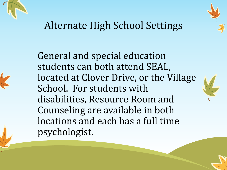



#### Alternate High School Settings

General and special education students can both attend SEAL, located at Clover Drive, or the Village School. For students with disabilities, Resource Room and Counseling are available in both locations and each has a full time psychologist.

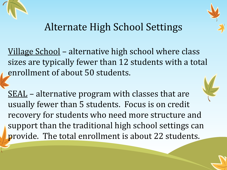



#### Alternate High School Settings

Village School – alternative high school where class sizes are typically fewer than 12 students with a total enrollment of about 50 students.

SEAL – alternative program with classes that are usually fewer than 5 students. Focus is on credit recovery for students who need more structure and support than the traditional high school settings can provide. The total enrollment is about 22 students.